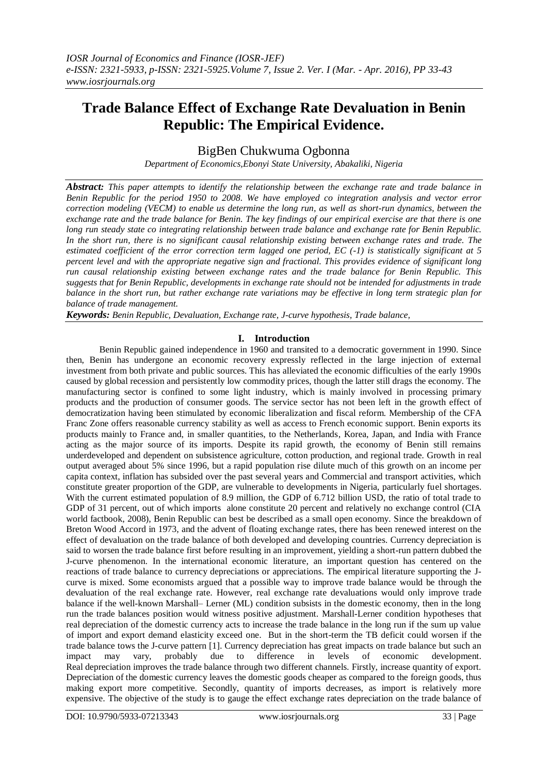# **Trade Balance Effect of Exchange Rate Devaluation in Benin Republic: The Empirical Evidence.**

BigBen Chukwuma Ogbonna

*Department of Economics,Ebonyi State University, Abakaliki, Nigeria*

*Abstract: This paper attempts to identify the relationship between the exchange rate and trade balance in Benin Republic for the period 1950 to 2008. We have employed co integration analysis and vector error correction modeling (VECM) to enable us determine the long run, as well as short-run dynamics, between the exchange rate and the trade balance for Benin. The key findings of our empirical exercise are that there is one long run steady state co integrating relationship between trade balance and exchange rate for Benin Republic. In the short run, there is no significant causal relationship existing between exchange rates and trade. The estimated coefficient of the error correction term lagged one period, EC (-1) is statistically significant at 5 percent level and with the appropriate negative sign and fractional. This provides evidence of significant long run causal relationship existing between exchange rates and the trade balance for Benin Republic. This suggests that for Benin Republic, developments in exchange rate should not be intended for adjustments in trade balance in the short run, but rather exchange rate variations may be effective in long term strategic plan for balance of trade management.* 

*Keywords: Benin Republic, Devaluation, Exchange rate, J-curve hypothesis, Trade balance,*

## **I. Introduction**

Benin Republic gained independence in 1960 and transited to a democratic government in 1990. Since then, Benin has undergone an economic recovery expressly reflected in the large injection of external investment from both private and public sources. This has alleviated the economic difficulties of the early 1990s caused by global recession and persistently low commodity prices, though the latter still drags the economy. The manufacturing sector is confined to some light industry, which is mainly involved in processing primary products and the production of consumer goods. The service sector has not been left in the growth effect of democratization having been stimulated by economic liberalization and fiscal reform. Membership of the CFA Franc Zone offers reasonable currency stability as well as access to French economic support. Benin exports its products mainly to France and, in smaller quantities, to the Netherlands, Korea, Japan, and India with France acting as the major source of its imports. Despite its rapid growth, the economy of Benin still remains underdeveloped and dependent on subsistence agriculture, cotton production, and regional trade. Growth in real output averaged about 5% since 1996, but a rapid population rise dilute much of this growth on an income per capita context, inflation has subsided over the past several years and Commercial and transport activities, which constitute greater proportion of the GDP, are vulnerable to developments in Nigeria, particularly fuel shortages. With the current estimated population of 8.9 million, the GDP of 6.712 billion USD, the ratio of total trade to GDP of 31 percent, out of which imports alone constitute 20 percent and relatively no exchange control (CIA world factbook, 2008), Benin Republic can best be described as a small open economy. Since the breakdown of Breton Wood Accord in 1973, and the advent of floating exchange rates, there has been renewed interest on the effect of devaluation on the trade balance of both developed and developing countries. Currency depreciation is said to worsen the trade balance first before resulting in an improvement, yielding a short-run pattern dubbed the J-curve phenomenon. In the international economic literature, an important question has centered on the reactions of trade balance to currency depreciations or appreciations. The empirical literature supporting the Jcurve is mixed. Some economists argued that a possible way to improve trade balance would be through the devaluation of the real exchange rate. However, real exchange rate devaluations would only improve trade balance if the well-known Marshall– Lerner (ML) condition subsists in the domestic economy, then in the long run the trade balances position would witness positive adjustment. Marshall-Lerner condition hypotheses that real depreciation of the domestic currency acts to increase the trade balance in the long run if the sum up value of import and export demand elasticity exceed one. But in the short-term the TB deficit could worsen if the trade balance tows the J-curve pattern [1]. Currency depreciation has great impacts on trade balance but such an impact may vary, probably due to difference in levels of economic development. Real depreciation improves the trade balance through two different channels. Firstly, increase quantity of export. Depreciation of the domestic currency leaves the domestic goods cheaper as compared to the foreign goods, thus making export more competitive. Secondly, quantity of imports decreases, as import is relatively more expensive. The objective of the study is to gauge the effect exchange rates depreciation on the trade balance of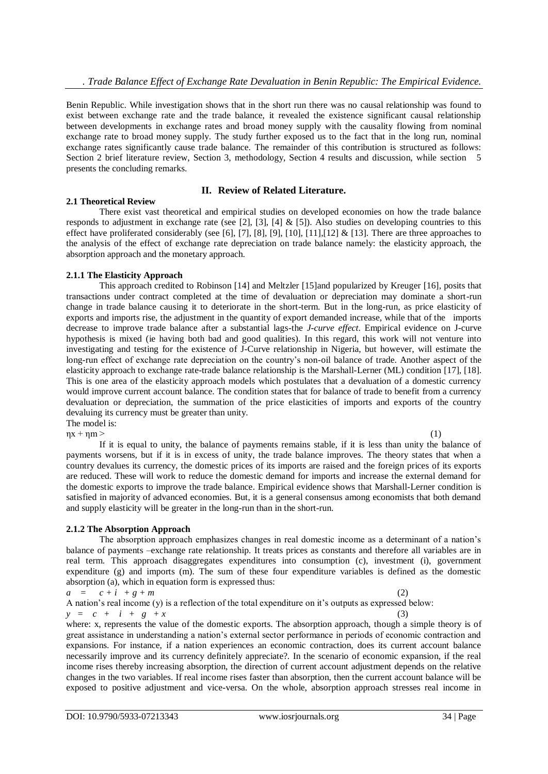Benin Republic. While investigation shows that in the short run there was no causal relationship was found to exist between exchange rate and the trade balance, it revealed the existence significant causal relationship between developments in exchange rates and broad money supply with the causality flowing from nominal exchange rate to broad money supply. The study further exposed us to the fact that in the long run, nominal exchange rates significantly cause trade balance. The remainder of this contribution is structured as follows: Section 2 brief literature review, Section 3, methodology, Section 4 results and discussion, while section 5 presents the concluding remarks.

### **II. Review of Related Literature.**

#### **2.1 Theoretical Review**

There exist vast theoretical and empirical studies on developed economies on how the trade balance responds to adjustment in exchange rate (see [2], [3], [4] & [5]). Also studies on developing countries to this effect have proliferated considerably (see [6], [7], [8], [9], [10], [11],[12] & [13]. There are three approaches to the analysis of the effect of exchange rate depreciation on trade balance namely: the elasticity approach, the absorption approach and the monetary approach.

#### **2.1.1 The Elasticity Approach**

This approach credited to Robinson [14] and Meltzler [15]and popularized by Kreuger [16], posits that transactions under contract completed at the time of devaluation or depreciation may dominate a short-run change in trade balance causing it to deteriorate in the short-term. But in the long-run, as price elasticity of exports and imports rise, the adjustment in the quantity of export demanded increase, while that of the imports decrease to improve trade balance after a substantial lags-the *J-curve effect*. Empirical evidence on J-curve hypothesis is mixed (ie having both bad and good qualities). In this regard, this work will not venture into investigating and testing for the existence of J-Curve relationship in Nigeria, but however, will estimate the long-run effect of exchange rate depreciation on the country"s non-oil balance of trade. Another aspect of the elasticity approach to exchange rate-trade balance relationship is the Marshall-Lerner (ML) condition [17], [18]. This is one area of the elasticity approach models which postulates that a devaluation of a domestic currency would improve current account balance. The condition states that for balance of trade to benefit from a currency devaluation or depreciation, the summation of the price elasticities of imports and exports of the country devaluing its currency must be greater than unity.

The model is:

 $\eta x + \eta m$  > (1) If it is equal to unity, the balance of payments remains stable, if it is less than unity the balance of payments worsens, but if it is in excess of unity, the trade balance improves. The theory states that when a country devalues its currency, the domestic prices of its imports are raised and the foreign prices of its exports are reduced. These will work to reduce the domestic demand for imports and increase the external demand for the domestic exports to improve the trade balance. Empirical evidence shows that Marshall-Lerner condition is satisfied in majority of advanced economies. But, it is a general consensus among economists that both demand and supply elasticity will be greater in the long-run than in the short-run.

### **2.1.2 The Absorption Approach**

The absorption approach emphasizes changes in real domestic income as a determinant of a nation"s balance of payments –exchange rate relationship. It treats prices as constants and therefore all variables are in real term. This approach disaggregates expenditures into consumption (c), investment (i), government expenditure (g) and imports (m). The sum of these four expenditure variables is defined as the domestic absorption (a), which in equation form is expressed thus:

 $a = c + i + g + m$  (2)

A nation"s real income (y) is a reflection of the total expenditure on it"s outputs as expressed below:  $y = c + i + g + x$  (3)

where: x, represents the value of the domestic exports. The absorption approach, though a simple theory is of great assistance in understanding a nation"s external sector performance in periods of economic contraction and expansions. For instance, if a nation experiences an economic contraction, does its current account balance necessarily improve and its currency definitely appreciate?. In the scenario of economic expansion, if the real income rises thereby increasing absorption, the direction of current account adjustment depends on the relative changes in the two variables. If real income rises faster than absorption, then the current account balance will be exposed to positive adjustment and vice-versa. On the whole, absorption approach stresses real income in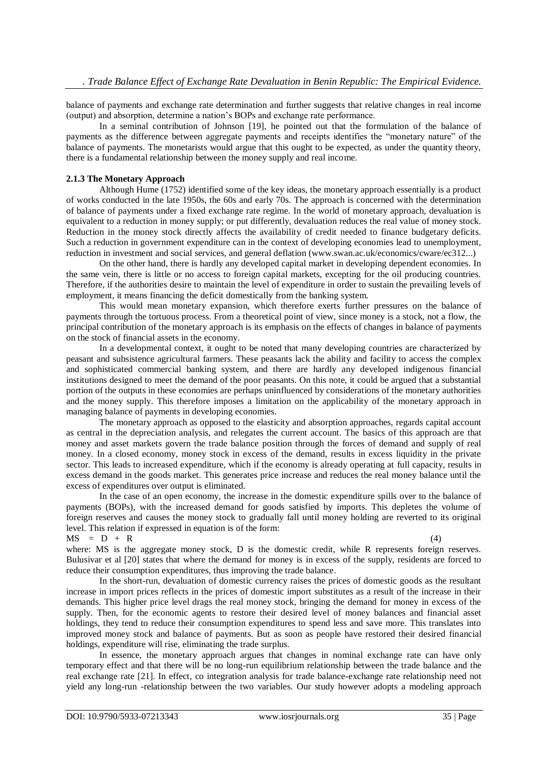balance of payments and exchange rate determination and further suggests that relative changes in real income (output) and absorption, determine a nation"s BOPs and exchange rate performance.

 In a seminal contribution of Johnson [19], he pointed out that the formulation of the balance of payments as the difference between aggregate payments and receipts identifies the "monetary nature" of the balance of payments. The monetarists would argue that this ought to be expected, as under the quantity theory, there is a fundamental relationship between the money supply and real income.

#### **2.1.3 The Monetary Approach**

Although Hume (1752) identified some of the key ideas, the monetary approach essentially is a product of works conducted in the late 1950s, the 60s and early 70s. The approach is concerned with the determination of balance of payments under a fixed exchange rate regime. In the world of monetary approach, devaluation is equivalent to a reduction in money supply; or put differently, devaluation reduces the real value of money stock. Reduction in the money stock directly affects the availability of credit needed to finance budgetary deficits. Such a reduction in government expenditure can in the context of developing economies lead to unemployment, reduction in investment and social services, and general deflation (www.swan.ac.uk/economics/cware/ec312...)

 On the other hand, there is hardly any developed capital market in developing dependent economies. In the same vein, there is little or no access to foreign capital markets, excepting for the oil producing countries. Therefore, if the authorities desire to maintain the level of expenditure in order to sustain the prevailing levels of employment, it means financing the deficit domestically from the banking system.

This would mean monetary expansion, which therefore exerts further pressures on the balance of payments through the tortuous process. From a theoretical point of view, since money is a stock, not a flow, the principal contribution of the monetary approach is its emphasis on the effects of changes in balance of payments on the stock of financial assets in the economy.

In a developmental context, it ought to be noted that many developing countries are characterized by peasant and subsistence agricultural farmers. These peasants lack the ability and facility to access the complex and sophisticated commercial banking system, and there are hardly any developed indigenous financial institutions designed to meet the demand of the poor peasants. On this note, it could be argued that a substantial portion of the outputs in these economies are perhaps uninfluenced by considerations of the monetary authorities and the money supply. This therefore imposes a limitation on the applicability of the monetary approach in managing balance of payments in developing economies.

The monetary approach as opposed to the elasticity and absorption approaches, regards capital account as central in the depreciation analysis, and relegates the current account. The basics of this approach are that money and asset markets govern the trade balance position through the forces of demand and supply of real money. In a closed economy, money stock in excess of the demand, results in excess liquidity in the private sector. This leads to increased expenditure, which if the economy is already operating at full capacity, results in excess demand in the goods market. This generates price increase and reduces the real money balance until the excess of expenditures over output is eliminated.

In the case of an open economy, the increase in the domestic expenditure spills over to the balance of payments (BOPs), with the increased demand for goods satisfied by imports. This depletes the volume of foreign reserves and causes the money stock to gradually fall until money holding are reverted to its original level. This relation if expressed in equation is of the form:

 $MS = D + R$  (4)

where: MS is the aggregate money stock, D is the domestic credit, while R represents foreign reserves. Bulusivar et al [20] states that where the demand for money is in excess of the supply, residents are forced to reduce their consumption expenditures, thus improving the trade balance.

In the short-run, devaluation of domestic currency raises the prices of domestic goods as the resultant increase in import prices reflects in the prices of domestic import substitutes as a result of the increase in their demands. This higher price level drags the real money stock, bringing the demand for money in excess of the supply. Then, for the economic agents to restore their desired level of money balances and financial asset holdings, they tend to reduce their consumption expenditures to spend less and save more. This translates into improved money stock and balance of payments. But as soon as people have restored their desired financial holdings, expenditure will rise, eliminating the trade surplus.

In essence, the monetary approach argues that changes in nominal exchange rate can have only temporary effect and that there will be no long-run equilibrium relationship between the trade balance and the real exchange rate [21]. In effect, co integration analysis for trade balance-exchange rate relationship need not yield any long-run -relationship between the two variables. Our study however adopts a modeling approach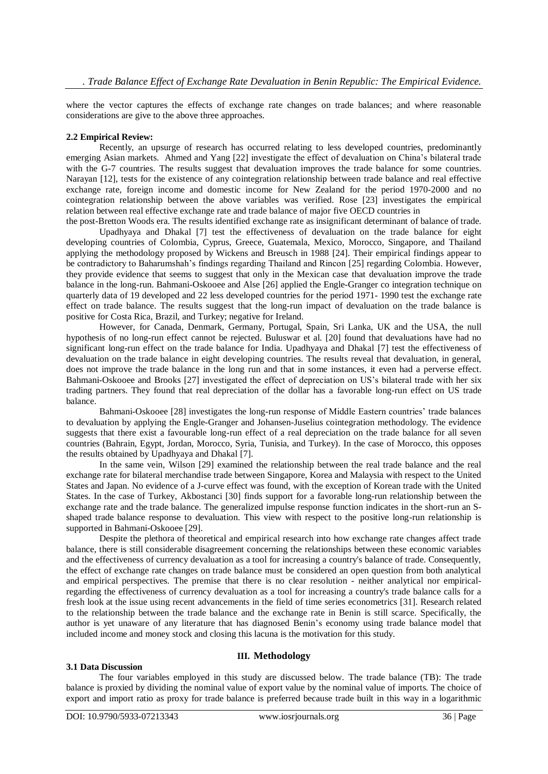where the vector captures the effects of exchange rate changes on trade balances; and where reasonable considerations are give to the above three approaches.

#### **2.2 Empirical Review:**

Recently, an upsurge of research has occurred relating to less developed countries, predominantly emerging Asian markets. Ahmed and Yang [22] investigate the effect of devaluation on China"s bilateral trade with the G-7 countries. The results suggest that devaluation improves the trade balance for some countries. Narayan [12], tests for the existence of any cointegration relationship between trade balance and real effective exchange rate, foreign income and domestic income for New Zealand for the period 1970-2000 and no cointegration relationship between the above variables was verified. Rose [23] investigates the empirical relation between real effective exchange rate and trade balance of major five OECD countries in the post-Bretton Woods era. The results identified exchange rate as insignificant determinant of balance of trade.

Upadhyaya and Dhakal [7] test the effectiveness of devaluation on the trade balance for eight developing countries of Colombia, Cyprus, Greece, Guatemala, Mexico, Morocco, Singapore, and Thailand applying the methodology proposed by Wickens and Breusch in 1988 [24]. Their empirical findings appear to be contradictory to Baharumshah"s findings regarding Thailand and Rincon [25] regarding Colombia. However, they provide evidence that seems to suggest that only in the Mexican case that devaluation improve the trade balance in the long-run. Bahmani-Oskooee and Alse [26] applied the Engle-Granger co integration technique on quarterly data of 19 developed and 22 less developed countries for the period 1971- 1990 test the exchange rate effect on trade balance. The results suggest that the long-run impact of devaluation on the trade balance is positive for Costa Rica, Brazil, and Turkey; negative for Ireland.

However, for Canada, Denmark, Germany, Portugal, Spain, Sri Lanka, UK and the USA, the null hypothesis of no long-run effect cannot be rejected. Buluswar et al. [20] found that devaluations have had no significant long-run effect on the trade balance for India. Upadhyaya and Dhakal [7] test the effectiveness of devaluation on the trade balance in eight developing countries. The results reveal that devaluation, in general, does not improve the trade balance in the long run and that in some instances, it even had a perverse effect. Bahmani-Oskooee and Brooks [27] investigated the effect of depreciation on US"s bilateral trade with her six trading partners. They found that real depreciation of the dollar has a favorable long-run effect on US trade balance.

Bahmani-Oskooee [28] investigates the long-run response of Middle Eastern countries" trade balances to devaluation by applying the Engle-Granger and Johansen-Juselius cointegration methodology. The evidence suggests that there exist a favourable long-run effect of a real depreciation on the trade balance for all seven countries (Bahrain, Egypt, Jordan, Morocco, Syria, Tunisia, and Turkey). In the case of Morocco, this opposes the results obtained by Upadhyaya and Dhakal [7].

In the same vein, Wilson [29] examined the relationship between the real trade balance and the real exchange rate for bilateral merchandise trade between Singapore, Korea and Malaysia with respect to the United States and Japan. No evidence of a J-curve effect was found, with the exception of Korean trade with the United States. In the case of Turkey, Akbostanci [30] finds support for a favorable long-run relationship between the exchange rate and the trade balance. The generalized impulse response function indicates in the short-run an Sshaped trade balance response to devaluation. This view with respect to the positive long-run relationship is supported in Bahmani-Oskooee [29].

Despite the plethora of theoretical and empirical research into how exchange rate changes affect trade balance, there is still considerable disagreement concerning the relationships between these economic variables and the effectiveness of currency devaluation as a tool for increasing a country's balance of trade. Consequently, the effect of exchange rate changes on trade balance must be considered an open question from both analytical and empirical perspectives. The premise that there is no clear resolution - neither analytical nor empiricalregarding the effectiveness of currency devaluation as a tool for increasing a country's trade balance calls for a fresh look at the issue using recent advancements in the field of time series econometrics [31]. Research related to the relationship between the trade balance and the exchange rate in Benin is still scarce. Specifically, the author is yet unaware of any literature that has diagnosed Benin"s economy using trade balance model that included income and money stock and closing this lacuna is the motivation for this study.

#### **III. Methodology**

export and import ratio as proxy for trade balance is preferred because trade built in this way in a logarithmic

**3.1 Data Discussion**  The four variables employed in this study are discussed below. The trade balance (TB): The trade balance is proxied by dividing the nominal value of export value by the nominal value of imports. The choice of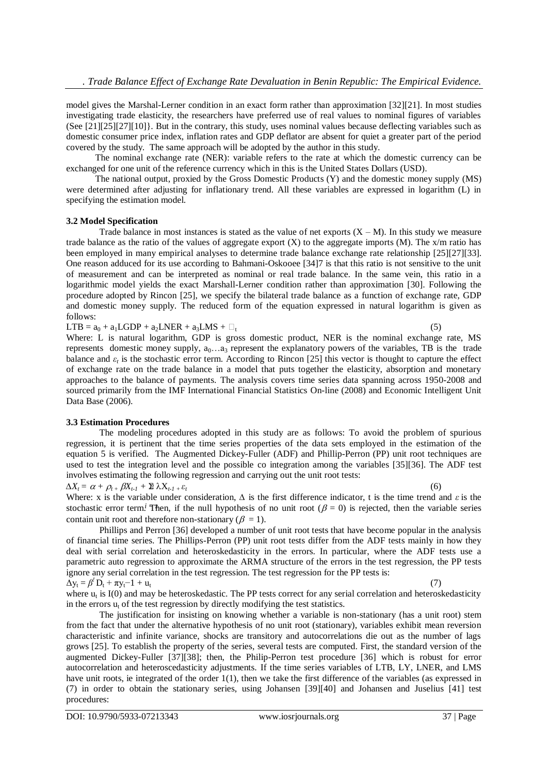model gives the Marshal-Lerner condition in an exact form rather than approximation [32][21]. In most studies investigating trade elasticity, the researchers have preferred use of real values to nominal figures of variables (See  $[21][25][27][10]$ ). But in the contrary, this study, uses nominal values because deflecting variables such as domestic consumer price index, inflation rates and GDP deflator are absent for quiet a greater part of the period covered by the study. The same approach will be adopted by the author in this study.

The nominal exchange rate (NER): variable refers to the rate at which the domestic currency can be exchanged for one unit of the reference currency which in this is the United States Dollars (USD).

The national output, proxied by the Gross Domestic Products (Y) and the domestic money supply (MS) were determined after adjusting for inflationary trend. All these variables are expressed in logarithm (L) in specifying the estimation model.

#### **3.2 Model Specification**

Trade balance in most instances is stated as the value of net exports  $(X - M)$ . In this study we measure trade balance as the ratio of the values of aggregate export  $(X)$  to the aggregate imports  $(M)$ . The  $x/m$  ratio has been employed in many empirical analyses to determine trade balance exchange rate relationship [25][27][33]. One reason adduced for its use according to Bahmani-Oskooee [34]7 is that this ratio is not sensitive to the unit of measurement and can be interpreted as nominal or real trade balance. In the same vein, this ratio in a logarithmic model yields the exact Marshall-Lerner condition rather than approximation [30]. Following the procedure adopted by Rincon [25], we specify the bilateral trade balance as a function of exchange rate, GDP and domestic money supply. The reduced form of the equation expressed in natural logarithm is given as follows:

 $LTB = a_0 + a_1 LGDP + a_2LNER + a_3LMS + \square_t$ 

Where: L is natural logarithm, GDP is gross domestic product, NER is the nominal exchange rate, MS represents domestic money supply,  $a_0...a_3$  represent the explanatory powers of the variables, TB is the trade balance and  $\varepsilon_t$  is the stochastic error term. According to Rincon [25] this vector is thought to capture the effect of exchange rate on the trade balance in a model that puts together the elasticity, absorption and monetary approaches to the balance of payments. The analysis covers time series data spanning across 1950-2008 and sourced primarily from the IMF International Financial Statistics On-line (2008) and Economic Intelligent Unit Data Base (2006).

### **3.3 Estimation Procedures**

The modeling procedures adopted in this study are as follows: To avoid the problem of spurious regression, it is pertinent that the time series properties of the data sets employed in the estimation of the equation 5 is verified. The Augmented Dickey-Fuller (ADF) and Phillip-Perron (PP) unit root techniques are used to test the integration level and the possible co integration among the variables [35][36]. The ADF test involves estimating the following regression and carrying out the unit root tests:

 $\Delta X_t = \alpha + \rho_{t} + \beta X_{t-1} + \mathbb{E} \lambda X_{t-1} + \varepsilon_t$  (6)

Where: x is the variable under consideration, *∆* is the first difference indicator, t is the time trend and *ε* is the stochastic error term.<sup>*i*</sup> Then, if the null hypothesis of no unit root ( $\beta = 0$ ) is rejected, then the variable series contain unit root and therefore non-stationary ( $\beta = 1$ ).

Phillips and Perron [36] developed a number of unit root tests that have become popular in the analysis of financial time series. The Phillips-Perron (PP) unit root tests differ from the ADF tests mainly in how they deal with serial correlation and heteroskedasticity in the errors. In particular, where the ADF tests use a parametric auto regression to approximate the ARMA structure of the errors in the test regression, the PP tests ignore any serial correlation in the test regression. The test regression for the PP tests is:  $\Delta y_t = \beta' D_t + \pi y_t - 1 + u_t$  (7)

where  $u_t$  is I(0) and may be heteroskedastic. The PP tests correct for any serial correlation and heteroskedasticity in the errors  $u_t$  of the test regression by directly modifying the test statistics.

The justification for insisting on knowing whether a variable is non-stationary (has a unit root) stem from the fact that under the alternative hypothesis of no unit root (stationary), variables exhibit mean reversion characteristic and infinite variance, shocks are transitory and autocorrelations die out as the number of lags grows [25]. To establish the property of the series, several tests are computed. First, the standard version of the augmented Dickey-Fuller [37][38]; then, the Philip-Perron test procedure [36] which is robust for error autocorrelation and heteroscedasticity adjustments. If the time series variables of LTB, LY, LNER, and LMS have unit roots, ie integrated of the order 1(1), then we take the first difference of the variables (as expressed in (7) in order to obtain the stationary series, using Johansen [39][40] and Johansen and Juselius [41] test procedures: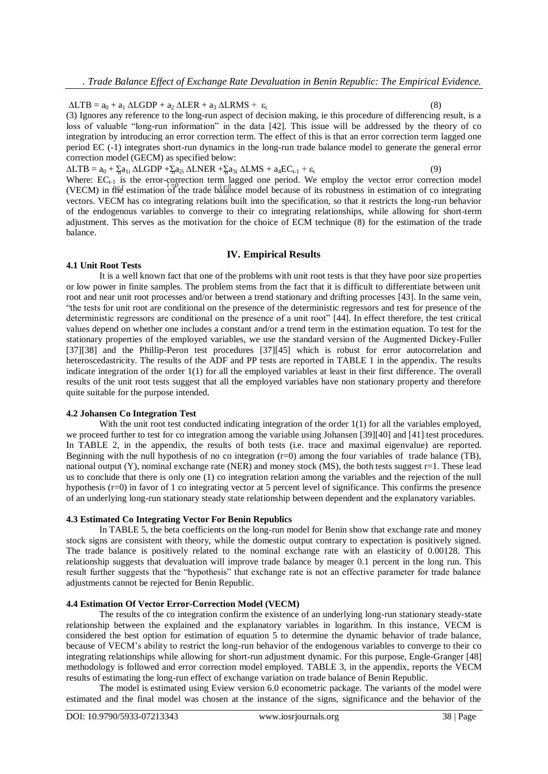$\triangle LTB = a_0 + a_1 \triangle LGDP + a_2 \triangle LER + a_3 \triangle LRMS + \varepsilon_t$  (8)

(3) Ignores any reference to the long-run aspect of decision making, ie this procedure of differencing result, is a loss of valuable "long-run information" in the data [42]. This issue will be addressed by the theory of co integration by introducing an error correction term. The effect of this is that an error correction term lagged one period EC (-1) integrates short-run dynamics in the long-run trade balance model to generate the general error correction model (GECM) as specified below:

 $\Delta LTB = a_0 + \frac{1}{2}a_{1i} \Delta LGDP + \frac{1}{2}a_{2i} \Delta LNER + \frac{1}{2}a_{3i} \Delta LMS + a_4 EC_{t-1} + \varepsilon_t$  (9) Where:  $EC_{t-1}$  is the error-correction term lagged one period. We employ the vector error correction model (VECM) in the estimation of the trade balance model because of its robustness in estimation of co integrating vectors. VECM has co integrating relations built into the specification, so that it restricts the long-run behavior of the endogenous variables to converge to their co integrating relationships, while allowing for short-term adjustment. This serves as the motivation for the choice of ECM technique (8) for the estimation of the trade balance.

#### **IV. Empirical Results**

#### **4.1 Unit Root Tests**

It is a well known fact that one of the problems with unit root tests is that they have poor size properties or low power in finite samples. The problem stems from the fact that it is difficult to differentiate between unit root and near unit root processes and/or between a trend stationary and drifting processes [43]. In the same vein, "the tests for unit root are conditional on the presence of the deterministic regressors and test for presence of the deterministic regressors are conditional on the presence of a unit root" [44]. In effect therefore, the test critical values depend on whether one includes a constant and/or a trend term in the estimation equation. To test for the stationary properties of the employed variables, we use the standard version of the Augmented Dickey-Fuller [37][38] and the Phillip-Peron test procedures [37][45] which is robust for error autocorrelation and heteroscedastricity. The results of the ADF and PP tests are reported in TABLE 1 in the appendix. The results indicate integration of the order 1(1) for all the employed variables at least in their first difference. The overall results of the unit root tests suggest that all the employed variables have non stationary property and therefore quite suitable for the purpose intended.

#### **4.2 Johansen Co Integration Test**

With the unit root test conducted indicating integration of the order 1(1) for all the variables employed, we proceed further to test for co integration among the variable using Johansen [39][40] and [41] test procedures. In TABLE 2, in the appendix, the results of both tests (i.e. trace and maximal eigenvalue) are reported. Beginning with the null hypothesis of no co integration (r=0) among the four variables of trade balance (TB), national output (Y), nominal exchange rate (NER) and money stock (MS), the both tests suggest r=1. These lead us to conclude that there is only one (1) co integration relation among the variables and the rejection of the null hypothesis (r=0) in favor of 1 co integrating vector at 5 percent level of significance. This confirms the presence of an underlying long-run stationary steady state relationship between dependent and the explanatory variables.

#### **4.3 Estimated Co Integrating Vector For Benin Republics**

In TABLE 5, the beta coefficients on the long-run model for Benin show that exchange rate and money stock signs are consistent with theory, while the domestic output contrary to expectation is positively signed. The trade balance is positively related to the nominal exchange rate with an elasticity of 0.00128. This relationship suggests that devaluation will improve trade balance by meager 0.1 percent in the long run. This result further suggests that the "hypothesis" that exchange rate is not an effective parameter for trade balance adjustments cannot be rejected for Benin Republic.

#### **4.4 Estimation Of Vector Error-Correction Model (VECM)**

The results of the co integration confirm the existence of an underlying long-run stationary steady-state relationship between the explained and the explanatory variables in logarithm. In this instance, VECM is considered the best option for estimation of equation 5 to determine the dynamic behavior of trade balance, because of VECM"s ability to restrict the long-run behavior of the endogenous variables to converge to their co integrating relationships while allowing for short-run adjustment dynamic. For this purpose, Engle-Granger [48] methodology is followed and error correction model employed. TABLE 3, in the appendix, reports the VECM results of estimating the long-run effect of exchange variation on trade balance of Benin Republic.

The model is estimated using Eview version 6.0 econometric package. The variants of the model were estimated and the final model was chosen at the instance of the signs, significance and the behavior of the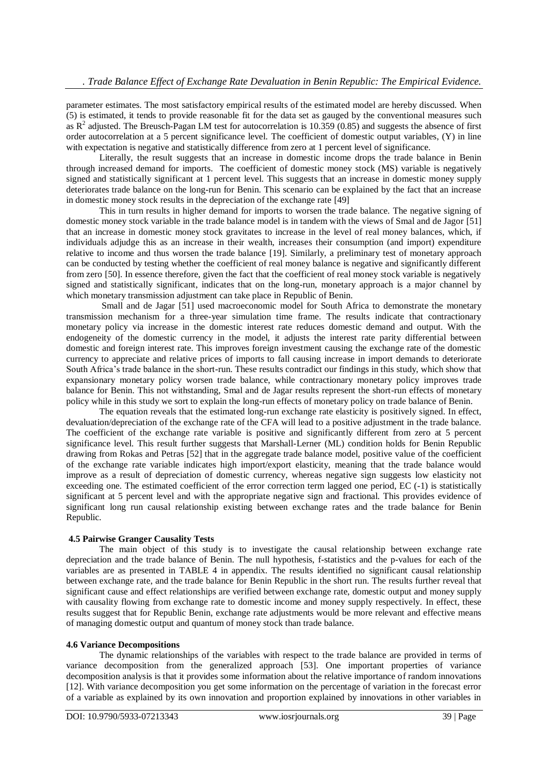parameter estimates. The most satisfactory empirical results of the estimated model are hereby discussed. When (5) is estimated, it tends to provide reasonable fit for the data set as gauged by the conventional measures such as  $R^2$  adjusted. The Breusch-Pagan LM test for autocorrelation is 10.359 (0.85) and suggests the absence of first order autocorrelation at a 5 percent significance level. The coefficient of domestic output variables, (Y) in line with expectation is negative and statistically difference from zero at 1 percent level of significance.

Literally, the result suggests that an increase in domestic income drops the trade balance in Benin through increased demand for imports. The coefficient of domestic money stock (MS) variable is negatively signed and statistically significant at 1 percent level. This suggests that an increase in domestic money supply deteriorates trade balance on the long-run for Benin. This scenario can be explained by the fact that an increase in domestic money stock results in the depreciation of the exchange rate [49]

This in turn results in higher demand for imports to worsen the trade balance. The negative signing of domestic money stock variable in the trade balance model is in tandem with the views of Smal and de Jagor [51] that an increase in domestic money stock gravitates to increase in the level of real money balances, which, if individuals adjudge this as an increase in their wealth, increases their consumption (and import) expenditure relative to income and thus worsen the trade balance [19]. Similarly, a preliminary test of monetary approach can be conducted by testing whether the coefficient of real money balance is negative and significantly different from zero [50]. In essence therefore, given the fact that the coefficient of real money stock variable is negatively signed and statistically significant, indicates that on the long-run, monetary approach is a major channel by which monetary transmission adjustment can take place in Republic of Benin.

Small and de Jagar [51] used macroeconomic model for South Africa to demonstrate the monetary transmission mechanism for a three-year simulation time frame. The results indicate that contractionary monetary policy via increase in the domestic interest rate reduces domestic demand and output. With the endogeneity of the domestic currency in the model, it adjusts the interest rate parity differential between domestic and foreign interest rate. This improves foreign investment causing the exchange rate of the domestic currency to appreciate and relative prices of imports to fall causing increase in import demands to deteriorate South Africa"s trade balance in the short-run. These results contradict our findings in this study, which show that expansionary monetary policy worsen trade balance, while contractionary monetary policy improves trade balance for Benin. This not withstanding, Smal and de Jagar results represent the short-run effects of monetary policy while in this study we sort to explain the long-run effects of monetary policy on trade balance of Benin.

The equation reveals that the estimated long-run exchange rate elasticity is positively signed. In effect, devaluation/depreciation of the exchange rate of the CFA will lead to a positive adjustment in the trade balance. The coefficient of the exchange rate variable is positive and significantly different from zero at 5 percent significance level. This result further suggests that Marshall-Lerner (ML) condition holds for Benin Republic drawing from Rokas and Petras [52] that in the aggregate trade balance model, positive value of the coefficient of the exchange rate variable indicates high import/export elasticity, meaning that the trade balance would improve as a result of depreciation of domestic currency, whereas negative sign suggests low elasticity not exceeding one. The estimated coefficient of the error correction term lagged one period, EC (-1) is statistically significant at 5 percent level and with the appropriate negative sign and fractional. This provides evidence of significant long run causal relationship existing between exchange rates and the trade balance for Benin Republic.

### **4.5 Pairwise Granger Causality Tests**

The main object of this study is to investigate the causal relationship between exchange rate depreciation and the trade balance of Benin. The null hypothesis, f-statistics and the p-values for each of the variables are as presented in TABLE 4 in appendix. The results identified no significant causal relationship between exchange rate, and the trade balance for Benin Republic in the short run. The results further reveal that significant cause and effect relationships are verified between exchange rate, domestic output and money supply with causality flowing from exchange rate to domestic income and money supply respectively. In effect, these results suggest that for Republic Benin, exchange rate adjustments would be more relevant and effective means of managing domestic output and quantum of money stock than trade balance.

#### **4.6 Variance Decompositions**

The dynamic relationships of the variables with respect to the trade balance are provided in terms of variance decomposition from the generalized approach [53]. One important properties of variance decomposition analysis is that it provides some information about the relative importance of random innovations [12]. With variance decomposition you get some information on the percentage of variation in the forecast error of a variable as explained by its own innovation and proportion explained by innovations in other variables in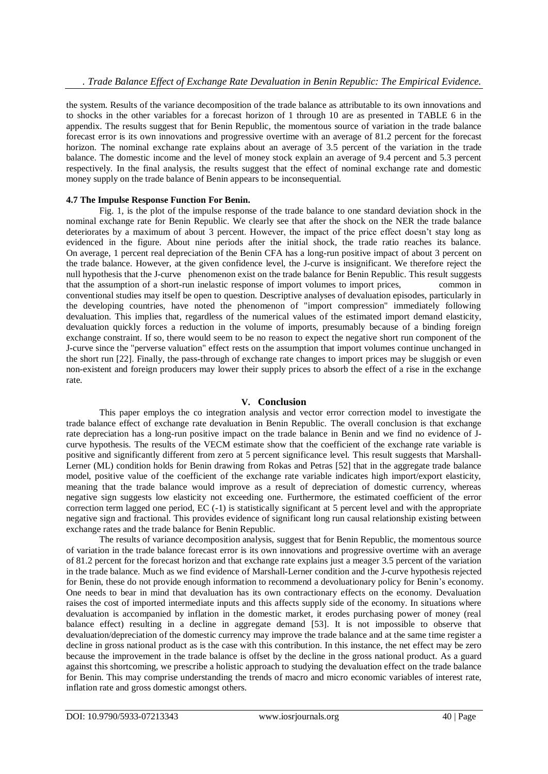the system. Results of the variance decomposition of the trade balance as attributable to its own innovations and to shocks in the other variables for a forecast horizon of 1 through 10 are as presented in TABLE 6 in the appendix. The results suggest that for Benin Republic, the momentous source of variation in the trade balance forecast error is its own innovations and progressive overtime with an average of 81.2 percent for the forecast horizon. The nominal exchange rate explains about an average of 3.5 percent of the variation in the trade balance. The domestic income and the level of money stock explain an average of 9.4 percent and 5.3 percent respectively. In the final analysis, the results suggest that the effect of nominal exchange rate and domestic money supply on the trade balance of Benin appears to be inconsequential.

#### **4.7 The Impulse Response Function For Benin.**

Fig. 1, is the plot of the impulse response of the trade balance to one standard deviation shock in the nominal exchange rate for Benin Republic. We clearly see that after the shock on the NER the trade balance deteriorates by a maximum of about 3 percent. However, the impact of the price effect doesn"t stay long as evidenced in the figure. About nine periods after the initial shock, the trade ratio reaches its balance. On average, 1 percent real depreciation of the Benin CFA has a long-run positive impact of about 3 percent on the trade balance. However, at the given confidence level, the J-curve is insignificant. We therefore reject the null hypothesis that the J-curve phenomenon exist on the trade balance for Benin Republic. This result suggests that the assumption of a short-run inelastic response of import volumes to import prices, common in conventional studies may itself be open to question. Descriptive analyses of devaluation episodes, particularly in the developing countries, have noted the phenomenon of "import compression" immediately following devaluation. This implies that, regardless of the numerical values of the estimated import demand elasticity, devaluation quickly forces a reduction in the volume of imports, presumably because of a binding foreign exchange constraint. If so, there would seem to be no reason to expect the negative short run component of the J-curve since the "perverse valuation" effect rests on the assumption that import volumes continue unchanged in the short run [22]. Finally, the pass-through of exchange rate changes to import prices may be sluggish or even non-existent and foreign producers may lower their supply prices to absorb the effect of a rise in the exchange rate.

### **V. Conclusion**

This paper employs the co integration analysis and vector error correction model to investigate the trade balance effect of exchange rate devaluation in Benin Republic. The overall conclusion is that exchange rate depreciation has a long-run positive impact on the trade balance in Benin and we find no evidence of Jcurve hypothesis. The results of the VECM estimate show that the coefficient of the exchange rate variable is positive and significantly different from zero at 5 percent significance level. This result suggests that Marshall-Lerner (ML) condition holds for Benin drawing from Rokas and Petras [52] that in the aggregate trade balance model, positive value of the coefficient of the exchange rate variable indicates high import/export elasticity, meaning that the trade balance would improve as a result of depreciation of domestic currency, whereas negative sign suggests low elasticity not exceeding one. Furthermore, the estimated coefficient of the error correction term lagged one period, EC (-1) is statistically significant at 5 percent level and with the appropriate negative sign and fractional. This provides evidence of significant long run causal relationship existing between exchange rates and the trade balance for Benin Republic.

The results of variance decomposition analysis, suggest that for Benin Republic, the momentous source of variation in the trade balance forecast error is its own innovations and progressive overtime with an average of 81.2 percent for the forecast horizon and that exchange rate explains just a meager 3.5 percent of the variation in the trade balance. Much as we find evidence of Marshall-Lerner condition and the J-curve hypothesis rejected for Benin, these do not provide enough information to recommend a devoluationary policy for Benin"s economy. One needs to bear in mind that devaluation has its own contractionary effects on the economy. Devaluation raises the cost of imported intermediate inputs and this affects supply side of the economy. In situations where devaluation is accompanied by inflation in the domestic market, it erodes purchasing power of money (real balance effect) resulting in a decline in aggregate demand [53]. It is not impossible to observe that devaluation/depreciation of the domestic currency may improve the trade balance and at the same time register a decline in gross national product as is the case with this contribution. In this instance, the net effect may be zero because the improvement in the trade balance is offset by the decline in the gross national product. As a guard against this shortcoming, we prescribe a holistic approach to studying the devaluation effect on the trade balance for Benin. This may comprise understanding the trends of macro and micro economic variables of interest rate, inflation rate and gross domestic amongst others.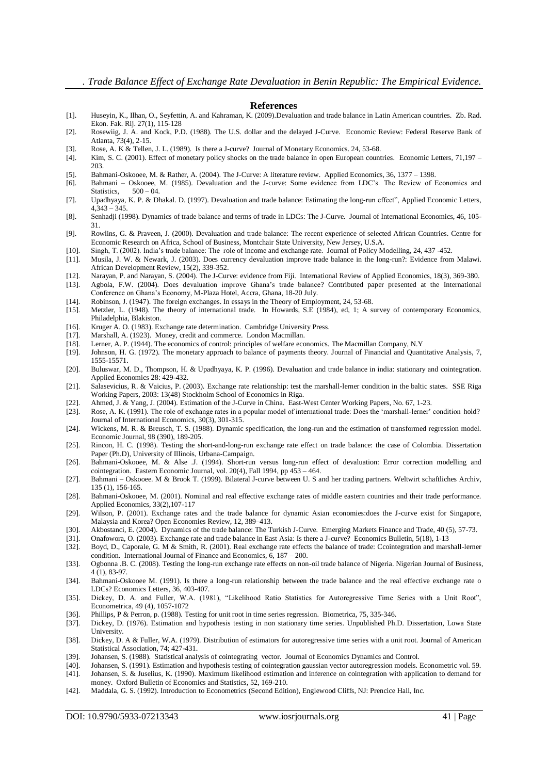#### **References**

- [1]. Huseyin, K., Ilhan, O., Seyfettin, A. and Kahraman, K. (2009).Devaluation and trade balance in Latin American countries. Zb. Rad. Ekon. Fak. Rij. 27(1), 115-128
- [2]. Rosewiig, J. A. and Kock, P.D. (1988). The U.S. dollar and the delayed J-Curve. Economic Review: Federal Reserve Bank of Atlanta, 73(4), 2-15.
- [3]. Rose, A. K & Tellen, J. L. (1989). Is there a J-curve? Journal of Monetary Economics. 24, 53-68. [4]. Kim, S. C. (2001). Effect of monetary policy shocks on the trade balance in open European count
- Kim, S. C. (2001). Effect of monetary policy shocks on the trade balance in open European countries. Economic Letters, 71,197 203.
- [5]. Bahmani-Oskooee, M. & Rather, A. (2004). The J-Curve: A literature review. Applied Economics, 36, 1377 1398.
- [6]. Bahmani Oskooee, M. (1985). Devaluation and the J-curve: Some evidence from LDC"s. The Review of Economics and Statistics,  $500 - 04$ .
- [7]. Upadhyaya, K. P. & Dhakal. D. (1997). Devaluation and trade balance: Estimating the long-run effect", Applied Economic Letters, 4,343 – 345.
- [8]. Senhadji (1998). Dynamics of trade balance and terms of trade in LDCs: The J-Curve. Journal of International Economics, 46, 105- 31.
- [9]. Rowlins, G. & Praveen, J. (2000). Devaluation and trade balance: The recent experience of selected African Countries. Centre for Economic Research on Africa, School of Business, Montchair State University, New Jersey, U.S.A.
- [10]. Singh, T. (2002). India"s trade balance: The role of income and exchange rate. Journal of Policy Modelling, 24, 437 -452.
- [11]. Musila, J. W. & Newark, J. (2003). Does currency devaluation improve trade balance in the long-run?: Evidence from Malawi. African Development Review, 15(2), 339-352.
- [12]. Narayan, P. and Narayan, S. (2004). The J-Curve: evidence from Fiji. International Review of Applied Economics, 18(3), 369-380.
- [13]. Agbola, F.W. (2004). Does devaluation improve Ghana"s trade balance? Contributed paper presented at the International Conference on Ghana"s Economy, M-Plaza Hotel, Accra, Ghana, 18-20 July.
- [14]. Robinson, J. (1947). The foreign exchanges. In essays in the Theory of Employment, 24, 53-68.<br>[15]. Metzler, L. (1948). The theory of international trade. In Howards, S.E. (1984), ed. 1; A s
- [15]. Metzler, L. (1948). The theory of international trade. In Howards, S.E (1984), ed, 1; A survey of contemporary Economics, Philadelphia, Blakiston.
- [16]. Kruger A. O. (1983). Exchange rate determination. Cambridge University Press.<br>[17]. Marshall, A. (1923). Money, credit and commerce. London Macmillan.
- Marshall, A. (1923). Money, credit and commerce. London Macmillan.
- [18]. Lerner, A. P. (1944). The economics of control: principles of welfare economics. The Macmillan Company, N.Y
- [19]. Johnson, H. G. (1972). The monetary approach to balance of payments theory. Journal of Financial and Quantitative Analysis, 7, 1555-15571.
- [20]. Buluswar, M. D., Thompson, H. & Upadhyaya, K. P. (1996). Devaluation and trade balance in india: stationary and cointegration. Applied Economics 28: 429-432.
- [21]. Salasevicius, R. & Vaicius, P. (2003). Exchange rate relationship: test the marshall-lerner condition in the baltic states. SSE Riga Working Papers, 2003: 13(48) Stockholm School of Economics in Riga.
- [22]. Ahmed, J. & Yang, J. (2004). Estimation of the J-Curve in China. East-West Center Working Papers, No. 67, 1-23.
- [23]. Rose, A. K. (1991). The role of exchange rates in a popular model of international trade: Does the 'marshall-lerner' condition hold? Journal of International Economics, 30(3), 301-315.
- [24]. Wickens, M. R. & Breusch, T. S. (1988). Dynamic specification, the long-run and the estimation of transformed regression model. Economic Journal, 98 (390), 189-205.
- [25]. Rincon, H. C. (1998). Testing the short-and-long-run exchange rate effect on trade balance: the case of Colombia. Dissertation Paper (Ph.D), University of Illinois, Urbana-Campaign.
- [26]. Bahmani-Oskooee, M. & Alse J. (1994). Short-run versus long-run effect of devaluation: Error correction modelling and cointegration. Eastern Economic Journal, vol. 20(4), Fall 1994, pp 453 – 464.
- [27]. Bahmani Oskooee. M & Brook T. (1999). Bilateral J-curve between U. S and her trading partners. Weltwirt schaftliches Archiv, 135 (1), 156-165.
- [28]. Bahmani-Oskooee, M. (2001). Nominal and real effective exchange rates of middle eastern countries and their trade performance. Applied Economics, 33(2),107-117
- [29]. Wilson, P. (2001). Exchange rates and the trade balance for dynamic Asian economies:does the J-curve exist for Singapore, Malaysia and Korea? Open Economies Review, 12, 389–413.
- [30]. Akbostanci, E. (2004). Dynamics of the trade balance: The Turkish J-Curve. Emerging Markets Finance and Trade, 40 (5), 57-73.
- [31]. Onafowora, O. (2003). Exchange rate and trade balance in East Asia: Is there a J-curve? Economics Bulletin, 5(18), 1-13<br>[32]. Boyd, D., Caporale, G. M & Smith, R. (2001). Real exchange rate effects the balance of tra
- [32]. Boyd, D., Caporale, G. M & Smith, R. (2001). Real exchange rate effects the balance of trade: Ccointegration and marshall-lerner condition. International Journal of Finance and Economics, 6, 187 – 200.
- [33]. Ogbonna .B. C. (2008). Testing the long-run exchange rate effects on non-oil trade balance of Nigeria. Nigerian Journal of Business, 4 (1), 83-97.
- [34]. Bahmani-Oskooee M. (1991). Is there a long-run relationship between the trade balance and the real effective exchange rate o LDCs? Economics Letters, 36, 403-407.
- [35]. Dickey, D. A. and Fuller, W.A. (1981), "Likelihood Ratio Statistics for Autoregressive Time Series with a Unit Root", Econometrica, 49 (4), 1057-1072
- [36]. Phillips, P & Perron, p. (1988). Testing for unit root in time series regression. Biometrica, 75, 335-346.
- [37]. Dickey, D. (1976). Estimation and hypothesis testing in non stationary time series. Unpublished Ph.D. Dissertation, Lowa State University.
- [38]. Dickey, D. A & Fuller, W.A. (1979). Distribution of estimators for autoregressive time series with a unit root. Journal of American Statistical Association, 74; 427-431.
- [39]. Johansen, S. (1988). Statistical analysis of cointegrating vector. Journal of Economics Dynamics and Control.
- [40]. Johansen, S. (1991). Estimation and hypothesis testing of cointegration gaussian vector autoregression models. Econometric vol. 59.
- [41]. Johansen, S. & Juselius, K. (1990). Maximum likelihood estimation and inference on cointegration with application to demand for money. Oxford Bulletin of Economics and Statistics, 52, 169-210.
- [42]. Maddala, G. S. (1992). Introduction to Econometrics (Second Edition), Englewood Cliffs, NJ: Prencice Hall, Inc.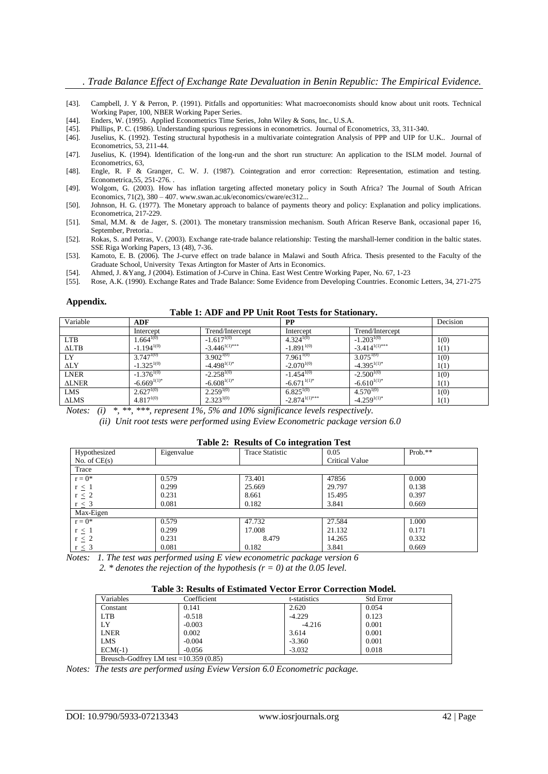- [43]. Campbell, J. Y & Perron, P. (1991). Pitfalls and opportunities: What macroeconomists should know about unit roots. Technical Working Paper, 100, NBER Working Paper Series.
- [44]. Enders, W. (1995). Applied Econometrics Time Series, John Wiley & Sons, Inc., U.S.A.
- [45]. Phillips, P. C. (1986). Understanding spurious regressions in econometrics. Journal of Econometrics, 33, 311-340.
- [46]. Juselius, K. (1992). Testing structural hypothesis in a multivariate cointegration Analysis of PPP and UIP for U.K.. Journal of Econometrics, 53, 211-44.
- [47]. Juselius, K. (1994). Identification of the long-run and the short run structure: An application to the ISLM model. Journal of Econometrics, 63,
- [48]. Engle, R. F & Granger, C. W. J. (1987). Cointegration and error correction: Representation, estimation and testing. Econometrica,55, 251-276. .
- [49]. Wolgom, G. (2003). How has inflation targeting affected monetary policy in South Africa? The Journal of South African Economics, 71(2), 380 – 407. www.swan.ac.uk/economics/cware/ec312...
- [50]. Johnson, H. G. (1977). The Monetary approach to balance of payments theory and policy: Explanation and policy implications. Econometrica, 217-229.
- [51]. Smal, M.M. & de Jager, S. (2001). The monetary transmission mechanism. South African Reserve Bank, occasional paper 16, September, Pretoria..
- [52]. Rokas, S. and Petras, V. (2003). Exchange rate-trade balance relationship: Testing the marshall-lerner condition in the baltic states. SSE Riga Working Papers, 13 (48), 7-36.
- [53]. Kamoto, E. B. (2006). The J-curve effect on trade balance in Malawi and South Africa. Thesis presented to the Faculty of the Graduate School, University Texas Artington for Master of Arts in Economics.
- [54]. Ahmed, J. &Yang, J (2004). Estimation of J-Curve in China. East West Centre Working Paper, No. 67, 1-23<br>[55]. Rose, A.K. (1990). Exchange Rates and Trade Balance: Some Evidence from Developing Countries. Econor
- [55]. Rose, A.K. (1990). Exchange Rates and Trade Balance: Some Evidence from Developing Countries. Economic Letters, 34, 271-275

#### **Appendix.**

**Table 1: ADF and PP Unit Root Tests for Stationary.**

| Variable        | <b>ADF</b>       |                    | $\bf PP$           |                    | Decision |
|-----------------|------------------|--------------------|--------------------|--------------------|----------|
|                 | Intercept        | Trend/Intercept    | Intercept          | Trend/Intercept    |          |
| <b>LTB</b>      | $1.664^{1(0)}$   | $-1.617^{1(0)}$    | $4.324^{1(0)}$     | $-1.203^{1(0)}$    | 1(0)     |
| $\triangle$ LTB | $-1.194^{1(0)}$  | $-3.446^{1(1)***}$ | $-1.891^{1(0)}$    | $-3.414^{1(1)***}$ | 1(1)     |
| LY              | $3.747^{1(0)}$   | $3.902^{1(0)}$     | $7.961^{1(0)}$     | $3.075^{1(0)}$     | 1(0)     |
| $\Delta$ LY     | $-1.325^{1(0)}$  | $-4.498^{1(1)*}$   | $-2.070^{1(0)}$    | $-4.395^{1(1)*}$   | 1(1)     |
| <b>LNER</b>     | $-1.376^{1(0)}$  | $-2.258^{1(0)}$    | $-1.454^{1(0)}$    | $-2.500^{1(0)}$    | 1(0)     |
| <b>ALNER</b>    | $-6.669^{1(1)*}$ | $-6.608^{1(1)*}$   | $-6.671^{1(1)*}$   | $-6.610^{1(1)*}$   | 1(1)     |
| LMS             | $2.627^{1(0)}$   | $2.259^{1(0)}$     | $6.825^{1(0)}$     | $4.570^{1(0)}$     | 1(0)     |
| $\triangle LMS$ | $4.817^{1(0)}$   | $2.323^{1(0)}$     | $-2.874^{1(1)***}$ | $-4.259^{1(1)*}$   | 1(1)     |

*Notes: (i) \*, \*\*, \*\*\*, represent 1%, 5% and 10% significance levels respectively.*

*(ii) Unit root tests were performed using Eview Econometric package version 6.0*

#### **Table 2: Results of Co integration Test** Hypothesized No. of CE(s) Eigenvalue Trace Statistic 0.05 Critical Value Prob.\*\* **Trace**  $r = 0^*$  $r \leq 1$  $r \leq 2$  $r \leq 3$ 0.579 0.299 0.231 0.081 73.401 25.669 8.661 0.182 47856 29.797 15.495 3.841 0.000 0.138 0.397 0.669 Max-Eigen  $r = 0^*$  $r \leq 1$  $r \leq 2$ 0.579 0.299 0.231 47.732 17.008 8.479 27.584 21.132 14.265 1.000 0.171 0.332 0.669

 $r \leq 3$ 0.081 0.182 3.841 *Notes: 1. The test was performed using E view econometric package version 6*

*2. \* denotes the rejection of the hypothesis (r = 0) at the 0.05 level.*

#### **Table 3: Results of Estimated Vector Error Correction Model.**

| Variables                                | Coefficient | t-statistics | <b>Std Error</b> |  |
|------------------------------------------|-------------|--------------|------------------|--|
| Constant                                 | 0.141       | 2.620        | 0.054            |  |
| <b>LTB</b>                               | $-0.518$    | $-4.229$     | 0.123            |  |
| LY                                       | $-0.003$    | $-4.216$     | 0.001            |  |
| <b>LNER</b>                              | 0.002       | 3.614        | 0.001            |  |
| LMS                                      | $-0.004$    | $-3.360$     | 0.001            |  |
| $ECM(-1)$                                | $-0.056$    | $-3.032$     | 0.018            |  |
| Breusch-Godfrey LM test = $10.359(0.85)$ |             |              |                  |  |

*Notes: The tests are performed using Eview Version 6.0 Econometric package.*